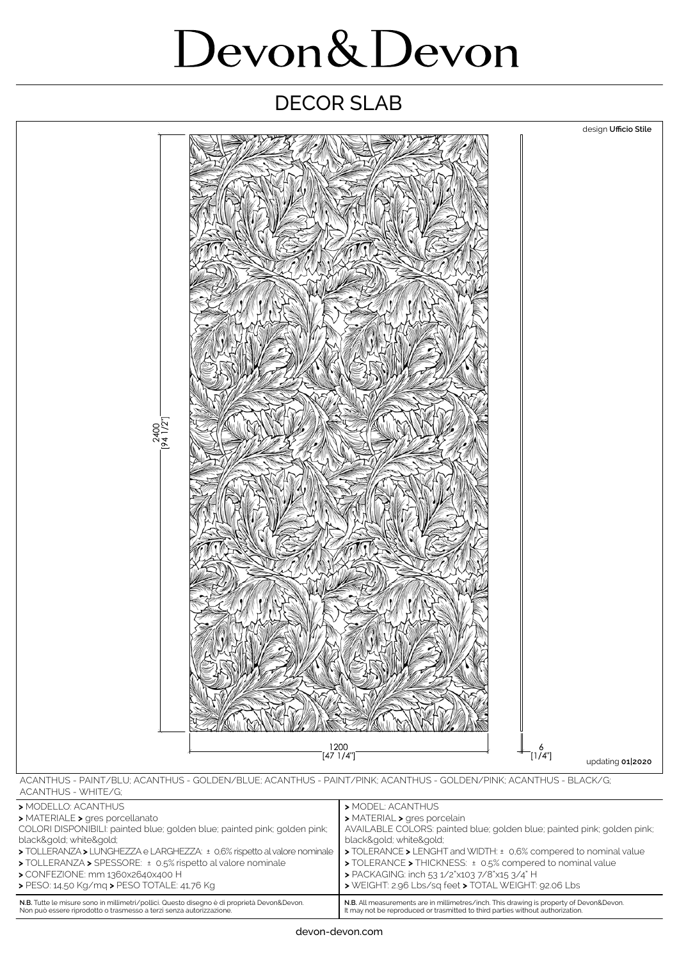## Devon&Devon

## DECOR SLAB